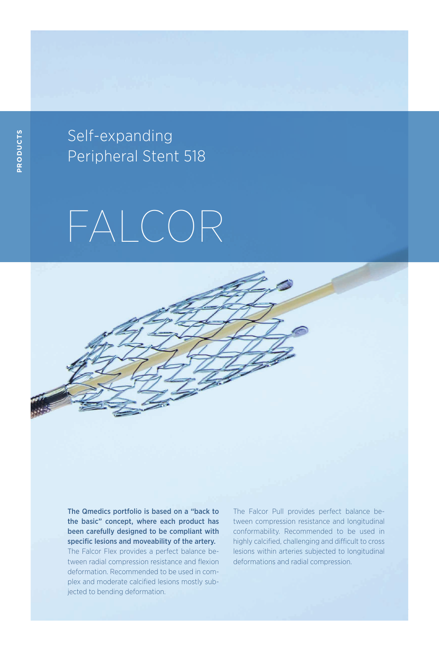Self-expanding Peripheral Stent 518

## FALCOR

The Qmedics portfolio is based on a "back to the basic" concept, where each product has been carefully designed to be compliant with specific lesions and moveability of the artery. The Falcor Flex provides a perfect balance between radial compression resistance and flexion deformation. Recommended to be used in complex and moderate calcified lesions mostly subjected to bending deformation.

The Falcor Pull provides perfect balance between compression resistance and longitudinal conformability. Recommended to be used in highly calcified, challenging and difficult to cross lesions within arteries subjected to longitudinal deformations and radial compression.